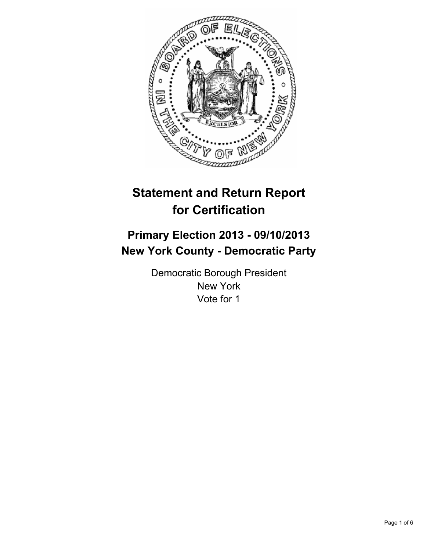

# **Statement and Return Report for Certification**

# **Primary Election 2013 - 09/10/2013 New York County - Democratic Party**

Democratic Borough President New York Vote for 1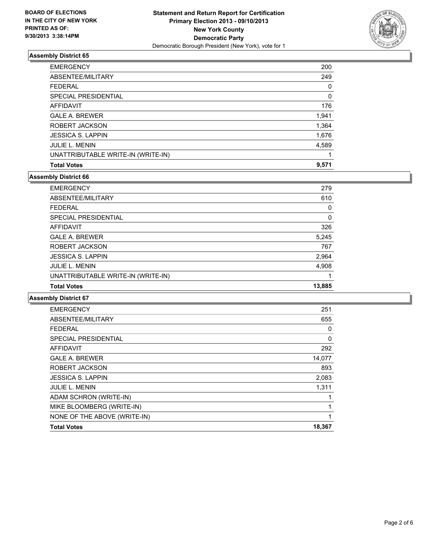

| <b>Total Votes</b>                 | 9,571 |
|------------------------------------|-------|
| UNATTRIBUTABLE WRITE-IN (WRITE-IN) |       |
| <b>JULIE L. MENIN</b>              | 4,589 |
| <b>JESSICA S. LAPPIN</b>           | 1,676 |
| ROBERT JACKSON                     | 1,364 |
| <b>GALE A. BREWER</b>              | 1,941 |
| AFFIDAVIT                          | 176   |
| SPECIAL PRESIDENTIAL               | 0     |
| <b>FEDERAL</b>                     | 0     |
| ABSENTEE/MILITARY                  | 249   |
| <b>EMERGENCY</b>                   | 200   |

#### **Assembly District 66**

| <b>JULIE L. MENIN</b><br>UNATTRIBUTABLE WRITE-IN (WRITE-IN) | 4,908 |
|-------------------------------------------------------------|-------|
| <b>JESSICA S. LAPPIN</b>                                    | 2,964 |
| ROBERT JACKSON                                              | 767   |
| <b>GALE A. BREWER</b>                                       | 5,245 |
| <b>AFFIDAVIT</b>                                            | 326   |
| SPECIAL PRESIDENTIAL                                        | 0     |
| <b>FEDERAL</b>                                              | 0     |
| ABSENTEE/MILITARY                                           | 610   |
| <b>EMERGENCY</b>                                            | 279   |

| 251    |
|--------|
| 655    |
| 0      |
| 0      |
| 292    |
| 14,077 |
| 893    |
| 2,083  |
| 1,311  |
| 1      |
| 1      |
| 1      |
| 18,367 |
|        |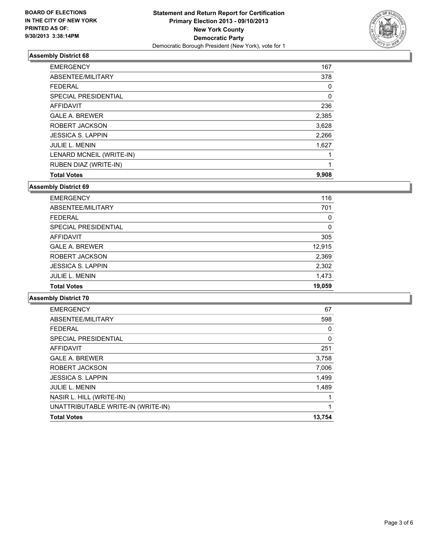

| <b>EMERGENCY</b>             | 167   |
|------------------------------|-------|
| ABSENTEE/MILITARY            | 378   |
| <b>FEDERAL</b>               | 0     |
| <b>SPECIAL PRESIDENTIAL</b>  | 0     |
| <b>AFFIDAVIT</b>             | 236   |
| <b>GALE A. BREWER</b>        | 2,385 |
| ROBERT JACKSON               | 3,628 |
| <b>JESSICA S. LAPPIN</b>     | 2,266 |
| <b>JULIE L. MENIN</b>        | 1,627 |
| LENARD MCNEIL (WRITE-IN)     |       |
| <b>RUBEN DIAZ (WRITE-IN)</b> |       |
| <b>Total Votes</b>           | 9,908 |

#### **Assembly District 69**

| <b>EMERGENCY</b>         | 116         |
|--------------------------|-------------|
| ABSENTEE/MILITARY        | 701         |
| <b>FFDFRAL</b>           | 0           |
| SPECIAL PRESIDENTIAL     | $\mathbf 0$ |
| AFFIDAVIT                | 305         |
| <b>GALE A. BREWER</b>    | 12,915      |
| ROBERT JACKSON           | 2,369       |
| <b>JESSICA S. LAPPIN</b> | 2,302       |
| <b>JULIE L. MENIN</b>    | 1,473       |
| <b>Total Votes</b>       | 19,059      |

| <b>EMERGENCY</b>                   | 67          |
|------------------------------------|-------------|
| ABSENTEE/MILITARY                  | 598         |
| <b>FEDERAL</b>                     | 0           |
| SPECIAL PRESIDENTIAL               | $\mathbf 0$ |
| AFFIDAVIT                          | 251         |
| <b>GALE A. BREWER</b>              | 3,758       |
| ROBERT JACKSON                     | 7,006       |
| <b>JESSICA S. LAPPIN</b>           | 1,499       |
| <b>JULIE L. MENIN</b>              | 1,489       |
| NASIR L. HILL (WRITE-IN)           |             |
| UNATTRIBUTABLE WRITE-IN (WRITE-IN) |             |
| <b>Total Votes</b>                 | 13,754      |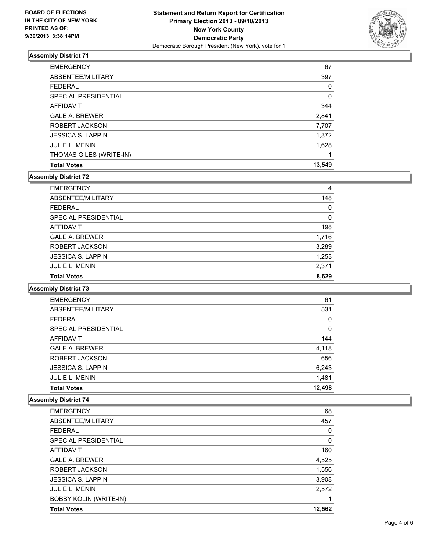

| <b>EMERGENCY</b>         | 67     |
|--------------------------|--------|
| ABSENTEE/MILITARY        | 397    |
| <b>FEDERAL</b>           | 0      |
| SPECIAL PRESIDENTIAL     | 0      |
| <b>AFFIDAVIT</b>         | 344    |
| <b>GALE A. BREWER</b>    | 2,841  |
| ROBERT JACKSON           | 7,707  |
| <b>JESSICA S. LAPPIN</b> | 1,372  |
| <b>JULIE L. MENIN</b>    | 1,628  |
| THOMAS GILES (WRITE-IN)  |        |
| <b>Total Votes</b>       | 13.549 |

#### **Assembly District 72**

| <b>EMERGENCY</b>         | 4        |
|--------------------------|----------|
| ABSENTEE/MILITARY        | 148      |
| <b>FEDERAL</b>           | $\Omega$ |
| SPECIAL PRESIDENTIAL     | 0        |
| <b>AFFIDAVIT</b>         | 198      |
| <b>GALE A. BREWER</b>    | 1,716    |
| ROBERT JACKSON           | 3,289    |
| <b>JESSICA S. LAPPIN</b> | 1,253    |
| <b>JULIE L. MENIN</b>    | 2,371    |
| <b>Total Votes</b>       | 8.629    |

#### **Assembly District 73**

| <b>EMERGENCY</b>         | 61     |
|--------------------------|--------|
| ABSENTEE/MILITARY        | 531    |
| <b>FEDERAL</b>           | 0      |
| SPECIAL PRESIDENTIAL     | 0      |
| AFFIDAVIT                | 144    |
| <b>GALE A. BREWER</b>    | 4,118  |
| ROBERT JACKSON           | 656    |
| <b>JESSICA S. LAPPIN</b> | 6,243  |
| <b>JULIE L. MENIN</b>    | 1,481  |
| <b>Total Votes</b>       | 12.498 |

| <b>EMERGENCY</b>              | 68     |
|-------------------------------|--------|
| ABSENTEE/MILITARY             | 457    |
| <b>FEDERAL</b>                | 0      |
| SPECIAL PRESIDENTIAL          | 0      |
| AFFIDAVIT                     | 160    |
| <b>GALE A. BREWER</b>         | 4,525  |
| ROBERT JACKSON                | 1,556  |
| <b>JESSICA S. LAPPIN</b>      | 3,908  |
| <b>JULIE L. MENIN</b>         | 2,572  |
| <b>BOBBY KOLIN (WRITE-IN)</b> |        |
| <b>Total Votes</b>            | 12,562 |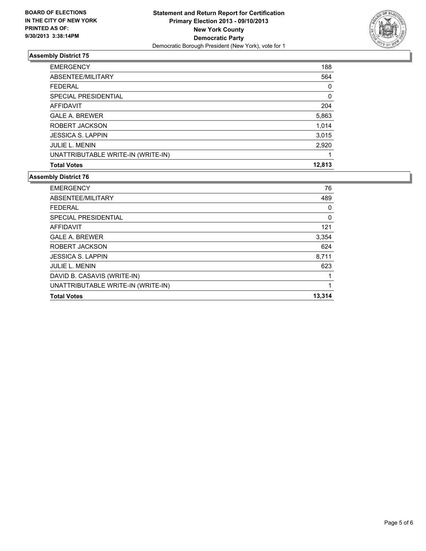

| <b>EMERGENCY</b>                   | 188    |
|------------------------------------|--------|
| ABSENTEE/MILITARY                  | 564    |
| <b>FEDERAL</b>                     | 0      |
| SPECIAL PRESIDENTIAL               | 0      |
| AFFIDAVIT                          | 204    |
| <b>GALE A. BREWER</b>              | 5,863  |
| ROBERT JACKSON                     | 1,014  |
| <b>JESSICA S. LAPPIN</b>           | 3,015  |
| <b>JULIE L. MENIN</b>              | 2,920  |
| UNATTRIBUTABLE WRITE-IN (WRITE-IN) |        |
| <b>Total Votes</b>                 | 12,813 |

| DAVID B. CASAVIS (WRITE-IN) |       |
|-----------------------------|-------|
| <b>JULIE L. MENIN</b>       | 623   |
| <b>JESSICA S. LAPPIN</b>    | 8,711 |
| ROBERT JACKSON              | 624   |
| <b>GALE A. BREWER</b>       | 3,354 |
| AFFIDAVIT                   | 121   |
| SPECIAL PRESIDENTIAL        | 0     |
| <b>FEDERAL</b>              | 0     |
| ABSENTEE/MILITARY           | 489   |
| <b>EMERGENCY</b>            | 76    |